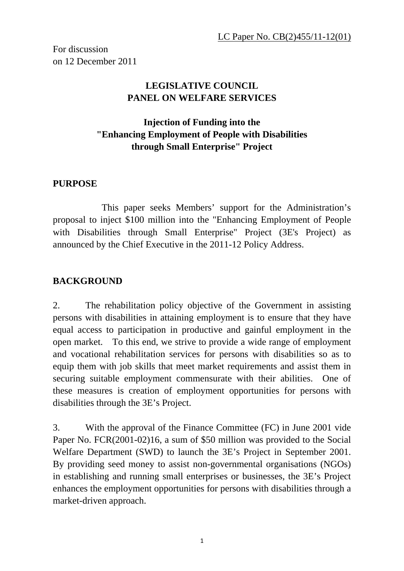For discussion on 12 December 2011

## **LEGISLATIVE COUNCIL PANEL ON WELFARE SERVICES**

## **Injection of Funding into the "Enhancing Employment of People with Disabilities through Small Enterprise" Project**

### **PURPOSE**

 This paper seeks Members' support for the Administration's proposal to inject \$100 million into the "Enhancing Employment of People with Disabilities through Small Enterprise" Project (3E's Project) as announced by the Chief Executive in the 2011-12 Policy Address.

### **BACKGROUND**

2. The rehabilitation policy objective of the Government in assisting persons with disabilities in attaining employment is to ensure that they have equal access to participation in productive and gainful employment in the open market. To this end, we strive to provide a wide range of employment and vocational rehabilitation services for persons with disabilities so as to equip them with job skills that meet market requirements and assist them in securing suitable employment commensurate with their abilities. One of these measures is creation of employment opportunities for persons with disabilities through the 3E's Project.

3. With the approval of the Finance Committee (FC) in June 2001 vide Paper No. FCR(2001-02)16, a sum of \$50 million was provided to the Social Welfare Department (SWD) to launch the 3E's Project in September 2001. By providing seed money to assist non-governmental organisations (NGOs) in establishing and running small enterprises or businesses, the 3E's Project enhances the employment opportunities for persons with disabilities through a market-driven approach.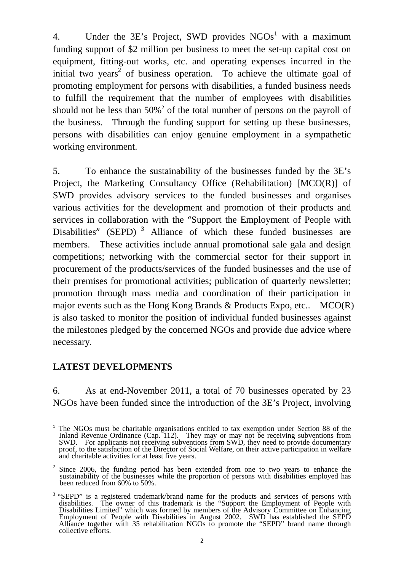4. Under the 3E's Project, SWD provides  $NGOs<sup>1</sup>$  with a maximum funding support of \$2 million per business to meet the set-up capital cost on equipment, fitting-out works, etc. and operating expenses incurred in the initial two years<sup>2</sup> of business operation. To achieve the ultimate goal of promoting employment for persons with disabilities, a funded business needs to fulfill the requirement that the number of employees with disabilities should not be less than  $50\%^2$  of the total number of persons on the payroll of the business. Through the funding support for setting up these businesses, persons with disabilities can enjoy genuine employment in a sympathetic working environment.

5. To enhance the sustainability of the businesses funded by the 3E's Project, the Marketing Consultancy Office (Rehabilitation) [MCO(R)] of SWD provides advisory services to the funded businesses and organises various activities for the development and promotion of their products and services in collaboration with the "Support the Employment of People with Disabilities" (SEPD)<sup>3</sup> Alliance of which these funded businesses are members. These activities include annual promotional sale gala and design competitions; networking with the commercial sector for their support in procurement of the products/services of the funded businesses and the use of their premises for promotional activities; publication of quarterly newsletter; promotion through mass media and coordination of their participation in major events such as the Hong Kong Brands  $\&$  Products Expo, etc.. MCO(R) is also tasked to monitor the position of individual funded businesses against the milestones pledged by the concerned NGOs and provide due advice where necessary.

### **LATEST DEVELOPMENTS**

6. As at end-November 2011, a total of 70 businesses operated by 23 NGOs have been funded since the introduction of the 3E's Project, involving

 <sup>1</sup> The NGOs must be charitable organisations entitled to tax exemption under Section 88 of the Inland Revenue Ordinance (Cap. 112). They may or may not be receiving subventions from SWD. For applicants not receiving subventions from SWD, they need to provide documentary proof, to the satisfaction of the Director of Social Welfare, on their active participation in welfare and charitable activities for at least five years.

 $2006$ , the funding period has been extended from one to two years to enhance the sustainability of the businesses while the proportion of persons with disabilities employed has been reduced from 60% to 50%.

<sup>&</sup>lt;sup>3</sup> "SEPD" is a registered trademark/brand name for the products and services of persons with disabilities. The owner of this trademark is the "Support the Employment of People with Disabilities Limited" which was formed by members of the Advisory Committee on Enhancing Employment of People with Disabilities in August 2002. SWD has established the SEPD Alliance together with 35 rehabilitation NGOs to promote the "SEPD" brand name through collective efforts.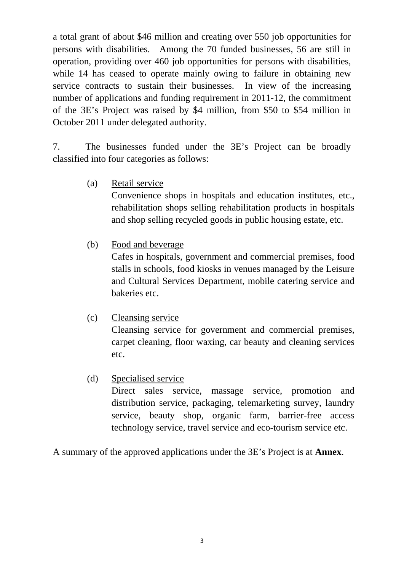a total grant of about \$46 million and creating over 550 job opportunities for persons with disabilities. Among the 70 funded businesses, 56 are still in operation, providing over 460 job opportunities for persons with disabilities, while 14 has ceased to operate mainly owing to failure in obtaining new service contracts to sustain their businesses. In view of the increasing number of applications and funding requirement in 2011-12, the commitment of the 3E's Project was raised by \$4 million, from \$50 to \$54 million in October 2011 under delegated authority.

7. The businesses funded under the 3E's Project can be broadly classified into four categories as follows:

(a) Retail service

Convenience shops in hospitals and education institutes, etc., rehabilitation shops selling rehabilitation products in hospitals and shop selling recycled goods in public housing estate, etc.

(b) Food and beverage

Cafes in hospitals, government and commercial premises, food stalls in schools, food kiosks in venues managed by the Leisure and Cultural Services Department, mobile catering service and bakeries etc.

(c) Cleansing service

Cleansing service for government and commercial premises, carpet cleaning, floor waxing, car beauty and cleaning services etc.

(d) Specialised service

Direct sales service, massage service, promotion and distribution service, packaging, telemarketing survey, laundry service, beauty shop, organic farm, barrier-free access technology service, travel service and eco-tourism service etc.

A summary of the approved applications under the 3E's Project is at **Annex**.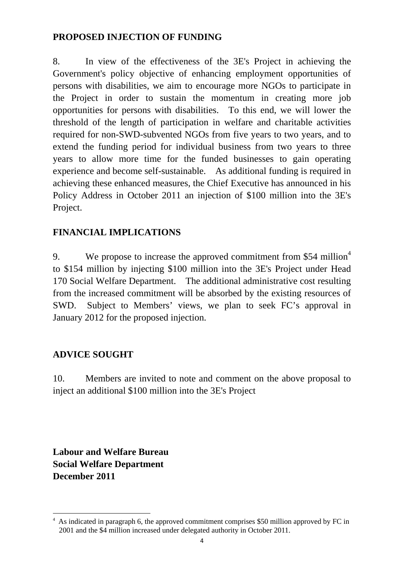#### **PROPOSED INJECTION OF FUNDING**

8. In view of the effectiveness of the 3E's Project in achieving the Government's policy objective of enhancing employment opportunities of persons with disabilities, we aim to encourage more NGOs to participate in the Project in order to sustain the momentum in creating more job opportunities for persons with disabilities. To this end, we will lower the threshold of the length of participation in welfare and charitable activities required for non-SWD-subvented NGOs from five years to two years, and to extend the funding period for individual business from two years to three years to allow more time for the funded businesses to gain operating experience and become self-sustainable. As additional funding is required in achieving these enhanced measures, the Chief Executive has announced in his Policy Address in October 2011 an injection of \$100 million into the 3E's Project.

## **FINANCIAL IMPLICATIONS**

9. We propose to increase the approved commitment from \$54 million<sup>4</sup> to \$154 million by injecting \$100 million into the 3E's Project under Head 170 Social Welfare Department. The additional administrative cost resulting from the increased commitment will be absorbed by the existing resources of SWD. Subject to Members' views, we plan to seek FC's approval in January 2012 for the proposed injection.

### **ADVICE SOUGHT**

10. Members are invited to note and comment on the above proposal to inject an additional \$100 million into the 3E's Project

**Labour and Welfare Bureau Social Welfare Department December 2011**

<sup>-</sup><sup>4</sup> As indicated in paragraph 6, the approved commitment comprises \$50 million approved by FC in 2001 and the \$4 million increased under delegated authority in October 2011.